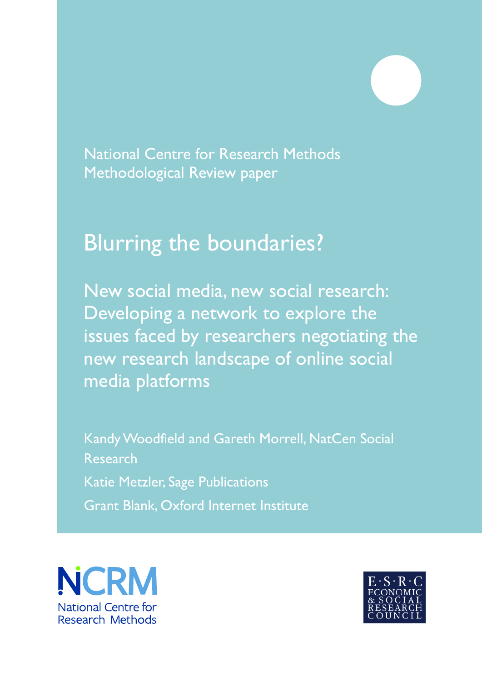National Centre for Research Methods Methodological Review paper

# Blurring the boundaries?

New social media, new social research: Developing a network to explore the issues faced by researchers negotiating the new research landscape of online social media platforms

Kandy Woodfield and Gareth Morrell, NatCen Social Research Katie Metzler, Sage Publications Grant Blank, Oxford Internet Institute



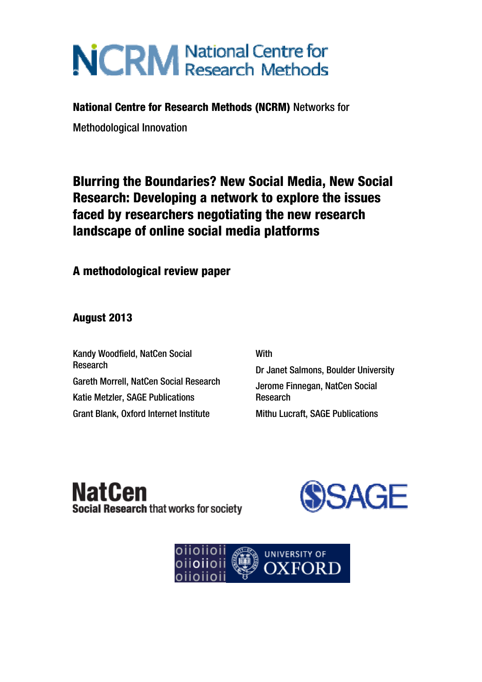# **NCRM** National Centre for

# National Centre for Research Methods (NCRM) Networks for

Methodological Innovation

# Blurring the Boundaries? New Social Media, New Social Research: Developing a network to explore the issues faced by researchers negotiating the new research landscape of online social media platforms

A methodological review paper

August 2013

Kandy Woodfield, NatCen Social Research Gareth Morrell, NatCen Social Research Katie Metzler, SAGE Publications Grant Blank, Oxford Internet Institute

**With** 

Dr Janet Salmons, Boulder University Jerome Finnegan, NatCen Social Research Mithu Lucraft, SAGE Publications

**NatCen** Social Research that works for society



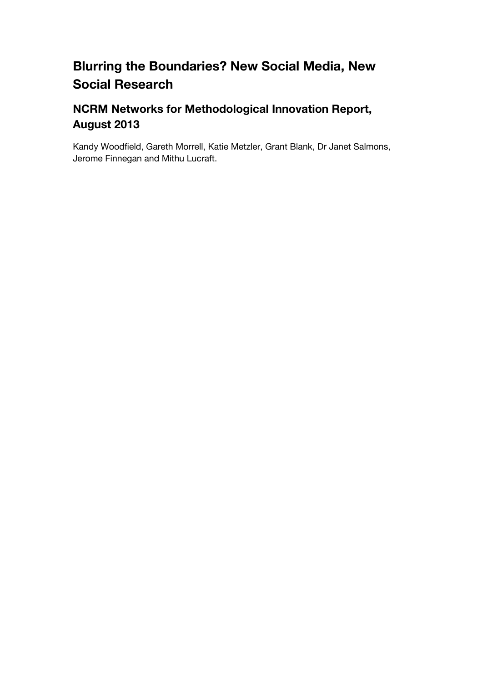# **Blurring the Boundaries? New Social Media, New Social Research**

# **NCRM Networks for Methodological Innovation Report, August 2013**

Kandy Woodfield, Gareth Morrell, Katie Metzler, Grant Blank, Dr Janet Salmons, Jerome Finnegan and Mithu Lucraft.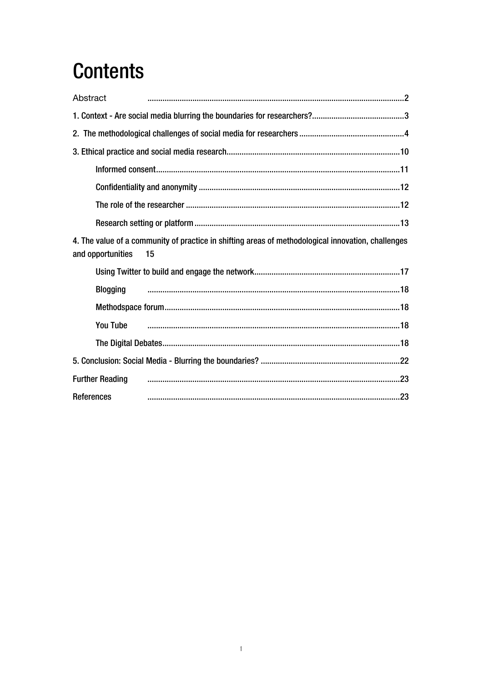# **Contents**

| Abstract               |                                                                                                    |
|------------------------|----------------------------------------------------------------------------------------------------|
|                        |                                                                                                    |
|                        |                                                                                                    |
|                        |                                                                                                    |
|                        |                                                                                                    |
|                        |                                                                                                    |
|                        |                                                                                                    |
|                        |                                                                                                    |
|                        | 4. The value of a community of practice in shifting areas of methodological innovation, challenges |
| and opportunities      | 15                                                                                                 |
|                        |                                                                                                    |
| <b>Blogging</b>        |                                                                                                    |
|                        |                                                                                                    |
| <b>You Tube</b>        |                                                                                                    |
|                        |                                                                                                    |
|                        |                                                                                                    |
| <b>Further Reading</b> |                                                                                                    |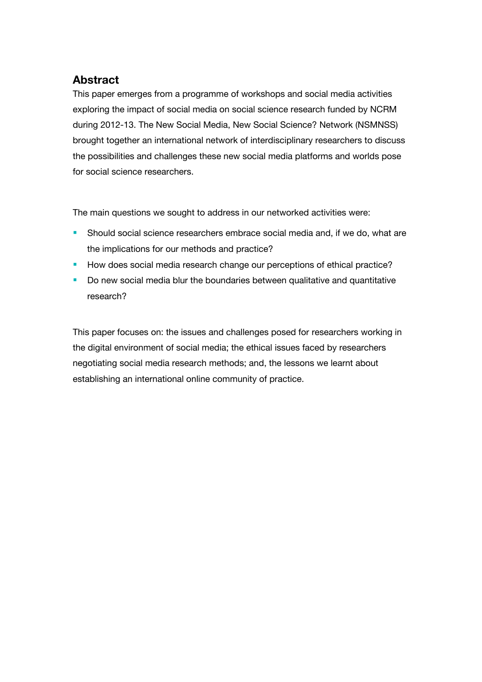# <span id="page-4-0"></span>**Abstract**

This paper emerges from a programme of workshops and social media activities exploring the impact of social media on social science research funded by NCRM during 2012-13. The New Social Media, New Social Science? Network (NSMNSS) brought together an international network of interdisciplinary researchers to discuss the possibilities and challenges these new social media platforms and worlds pose for social science researchers.

The main questions we sought to address in our networked activities were:

- **Should social science researchers embrace social media and, if we do, what are** the implications for our methods and practice?
- How does social media research change our perceptions of ethical practice?
- Do new social media blur the boundaries between qualitative and quantitative research?

This paper focuses on: the issues and challenges posed for researchers working in the digital environment of social media; the ethical issues faced by researchers negotiating social media research methods; and, the lessons we learnt about establishing an international online community of practice.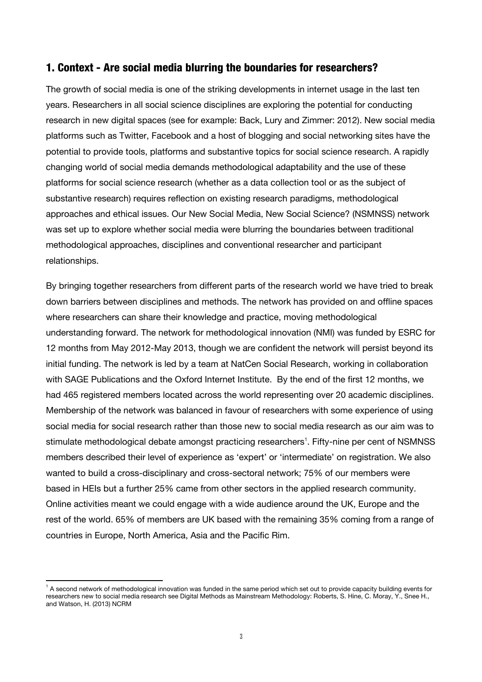#### <span id="page-5-0"></span>1. Context - Are social media blurring the boundaries for researchers?

The growth of social media is one of the striking developments in internet usage in the last ten years. Researchers in all social science disciplines are exploring the potential for conducting research in new digital spaces (see for example: Back, Lury and Zimmer: 2012). New social media platforms such as Twitter, Facebook and a host of blogging and social networking sites have the potential to provide tools, platforms and substantive topics for social science research. A rapidly changing world of social media demands methodological adaptability and the use of these platforms for social science research (whether as a data collection tool or as the subject of substantive research) requires reflection on existing research paradigms, methodological approaches and ethical issues. Our New Social Media, New Social Science? (NSMNSS) network was set up to explore whether social media were blurring the boundaries between traditional methodological approaches, disciplines and conventional researcher and participant relationships.

By bringing together researchers from different parts of the research world we have tried to break down barriers between disciplines and methods. The network has provided on and offline spaces where researchers can share their knowledge and practice, moving methodological understanding forward. The network for methodological innovation (NMI) was funded by ESRC for 12 months from May 2012-May 2013, though we are confident the network will persist beyond its initial funding. The network is led by a team at NatCen Social Research, working in collaboration with SAGE Publications and the Oxford Internet Institute. By the end of the first 12 months, we had 465 registered members located across the world representing over 20 academic disciplines. Membership of the network was balanced in favour of researchers with some experience of using social media for social research rather than those new to social media research as our aim was to stimulate methodological debate amongst practicing researchers<sup>1</sup>[.](#page-5-1) Fifty-nine per cent of NSMNSS members described their level of experience as 'expert' or 'intermediate' on registration. We also wanted to build a cross-disciplinary and cross-sectoral network; 75% of our members were based in HEIs but a further 25% came from other sectors in the applied research community. Online activities meant we could engage with a wide audience around the UK, Europe and the rest of the world. 65% of members are UK based with the remaining 35% coming from a range of countries in Europe, North America, Asia and the Pacific Rim.

<span id="page-5-1"></span> <sup>1</sup> A second network of methodological innovation was funded in the same period which set out to provide capacity building events for researchers new to social media research see Digital Methods as Mainstream Methodology: Roberts, S. Hine, C. Moray, Y., Snee H., and Watson, H. (2013) NCRM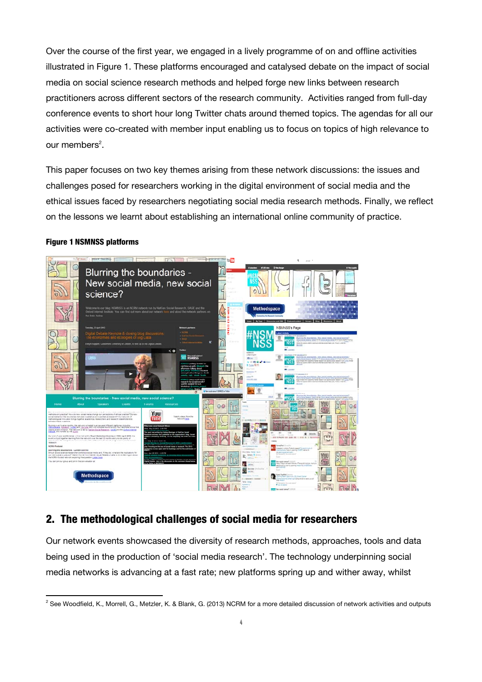<span id="page-6-0"></span>Over the course of the first year, we engaged in a lively programme of on and offline activities illustrated in Figure 1. These platforms encouraged and catalysed debate on the impact of social media on social science research methods and helped forge new links between research practitioners across different sectors of the research community. Activities ranged from full-day conference events to short hour long Twitter chats around themed topics. The agendas for all our activities were co-created with member input enabling us to focus on topics of high relevance to our members<sup>2</sup>.

This paper focuses on two key themes arising from these network discussions: the issues and challenges posed for researchers working in the digital environment of social media and the ethical issues faced by researchers negotiating social media research methods. Finally, we reflect on the lessons we learnt about establishing an international online community of practice.

#### Figure 1 NSMNSS platforms



### 2. The methodological challenges of social media for researchers

Our network events showcased the diversity of research methods, approaches, tools and data being used in the production of 'social media research'. The technology underpinning social media networks is advancing at a fast rate; new platforms spring up and wither away, whilst

 <sup>2</sup> See Woodfield, K., Morrell, G., Metzler, K. & Blank, G. (2013) NCRM for a more detailed discussion of network activities and outputs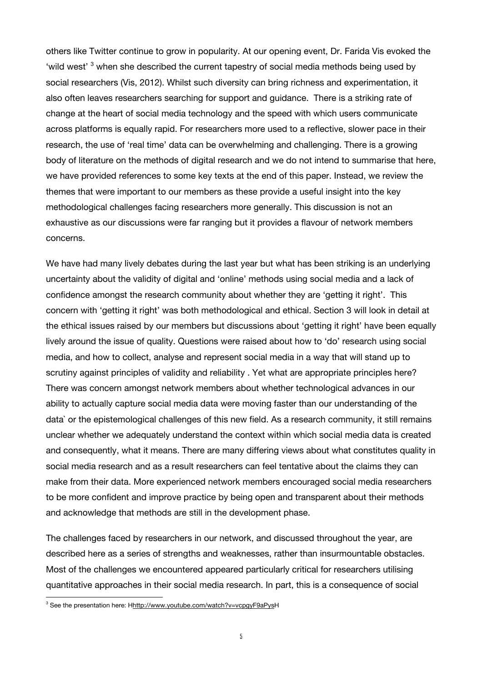others like Twitter continue to grow in popularity. At our opening event, Dr. Farida Vis evoked the 'wild [w](#page-7-0)est' <sup>3</sup> when she described the current tapestry of social media methods being used by social researchers (Vis, 2012). Whilst such diversity can bring richness and experimentation, it also often leaves researchers searching for support and guidance. There is a striking rate of change at the heart of social media technology and the speed with which users communicate across platforms is equally rapid. For researchers more used to a reflective, slower pace in their research, the use of 'real time' data can be overwhelming and challenging. There is a growing body of literature on the methods of digital research and we do not intend to summarise that here, we have provided references to some key texts at the end of this paper. Instead, we review the themes that were important to our members as these provide a useful insight into the key methodological challenges facing researchers more generally. This discussion is not an exhaustive as our discussions were far ranging but it provides a flavour of network members concerns.

We have had many lively debates during the last year but what has been striking is an underlying uncertainty about the validity of digital and 'online' methods using social media and a lack of confidence amongst the research community about whether they are 'getting it right'. This concern with 'getting it right' was both methodological and ethical. Section 3 will look in detail at the ethical issues raised by our members but discussions about 'getting it right' have been equally lively around the issue of quality. Questions were raised about how to 'do' research using social media, and how to collect, analyse and represent social media in a way that will stand up to scrutiny against principles of validity and reliability . Yet what are appropriate principles here? There was concern amongst network members about whether technological advances in our ability to actually capture social media data were moving faster than our understanding of the data` or the epistemological challenges of this new field. As a research community, it still remains unclear whether we adequately understand the context within which social media data is created and consequently, what it means. There are many differing views about what constitutes quality in social media research and as a result researchers can feel tentative about the claims they can make from their data. More experienced network members encouraged social media researchers to be more confident and improve practice by being open and transparent about their methods and acknowledge that methods are still in the development phase.

The challenges faced by researchers in our network, and discussed throughout the year, are described here as a series of strengths and weaknesses, rather than insurmountable obstacles. Most of the challenges we encountered appeared particularly critical for researchers utilising quantitative approaches in their social media research. In part, this is a consequence of social

<span id="page-7-0"></span><sup>&</sup>lt;sup>3</sup><br>See the presentation here: H<u>http://www.youtube.com/watch?v=vcpgyF9aPys</u>H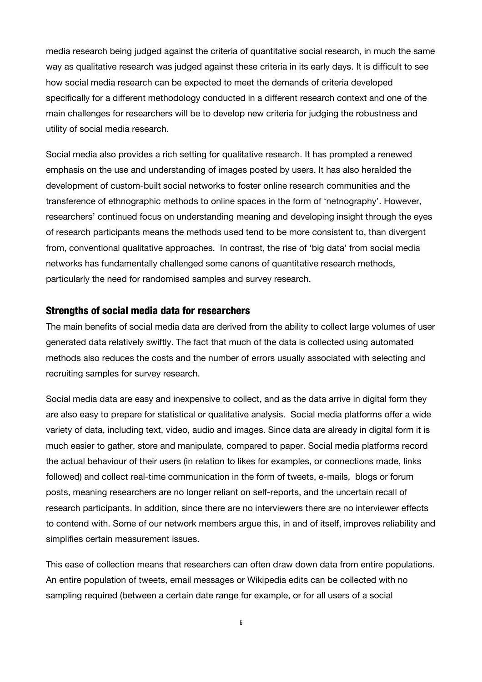media research being judged against the criteria of quantitative social research, in much the same way as qualitative research was judged against these criteria in its early days. It is difficult to see how social media research can be expected to meet the demands of criteria developed specifically for a different methodology conducted in a different research context and one of the main challenges for researchers will be to develop new criteria for judging the robustness and utility of social media research.

Social media also provides a rich setting for qualitative research. It has prompted a renewed emphasis on the use and understanding of images posted by users. It has also heralded the development of custom-built social networks to foster online research communities and the transference of ethnographic methods to online spaces in the form of 'netnography'. However, researchers' continued focus on understanding meaning and developing insight through the eyes of research participants means the methods used tend to be more consistent to, than divergent from, conventional qualitative approaches. In contrast, the rise of 'big data' from social media networks has fundamentally challenged some canons of quantitative research methods, particularly the need for randomised samples and survey research.

#### Strengths of social media data for researchers

The main benefits of social media data are derived from the ability to collect large volumes of user generated data relatively swiftly. The fact that much of the data is collected using automated methods also reduces the costs and the number of errors usually associated with selecting and recruiting samples for survey research.

Social media data are easy and inexpensive to collect, and as the data arrive in digital form they are also easy to prepare for statistical or qualitative analysis. Social media platforms offer a wide variety of data, including text, video, audio and images. Since data are already in digital form it is much easier to gather, store and manipulate, compared to paper. Social media platforms record the actual behaviour of their users (in relation to likes for examples, or connections made, links followed) and collect real-time communication in the form of tweets, e-mails, blogs or forum posts, meaning researchers are no longer reliant on self-reports, and the uncertain recall of research participants. In addition, since there are no interviewers there are no interviewer effects to contend with. Some of our network members argue this, in and of itself, improves reliability and simplifies certain measurement issues.

This ease of collection means that researchers can often draw down data from entire populations. An entire population of tweets, email messages or Wikipedia edits can be collected with no sampling required (between a certain date range for example, or for all users of a social

6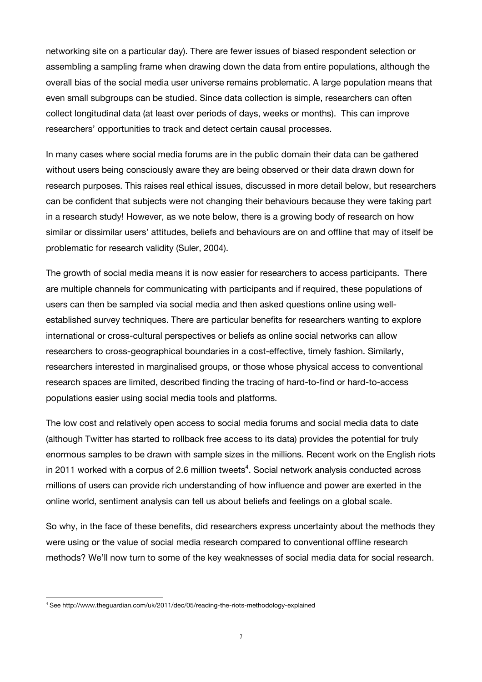networking site on a particular day). There are fewer issues of biased respondent selection or assembling a sampling frame when drawing down the data from entire populations, although the overall bias of the social media user universe remains problematic. A large population means that even small subgroups can be studied. Since data collection is simple, researchers can often collect longitudinal data (at least over periods of days, weeks or months). This can improve researchers' opportunities to track and detect certain causal processes.

In many cases where social media forums are in the public domain their data can be gathered without users being consciously aware they are being observed or their data drawn down for research purposes. This raises real ethical issues, discussed in more detail below, but researchers can be confident that subjects were not changing their behaviours because they were taking part in a research study! However, as we note below, there is a growing body of research on how similar or dissimilar users' attitudes, beliefs and behaviours are on and offline that may of itself be problematic for research validity (Suler, 2004).

The growth of social media means it is now easier for researchers to access participants. There are multiple channels for communicating with participants and if required, these populations of users can then be sampled via social media and then asked questions online using wellestablished survey techniques. There are particular benefits for researchers wanting to explore international or cross-cultural perspectives or beliefs as online social networks can allow researchers to cross-geographical boundaries in a cost-effective, timely fashion. Similarly, researchers interested in marginalised groups, or those whose physical access to conventional research spaces are limited, described finding the tracing of hard-to-find or hard-to-access populations easier using social media tools and platforms.

The low cost and relatively open access to social media forums and social media data to date (although Twitter has started to rollback free access to its data) provides the potential for truly enormous samples to be drawn with sample sizes in the millions. Recent work on the English riots in 2011 worked with a corpus of 2.6 million tweets<sup>4</sup>[.](#page-9-0) Social network analysis conducted across millions of users can provide rich understanding of how influence and power are exerted in the online world, sentiment analysis can tell us about beliefs and feelings on a global scale.

So why, in the face of these benefits, did researchers express uncertainty about the methods they were using or the value of social media research compared to conventional offline research methods? We'll now turn to some of the key weaknesses of social media data for social research.

<span id="page-9-0"></span><sup>4</sup> See http://www.theguardian.com/uk/2011/dec/05/reading-the-riots-methodology-explained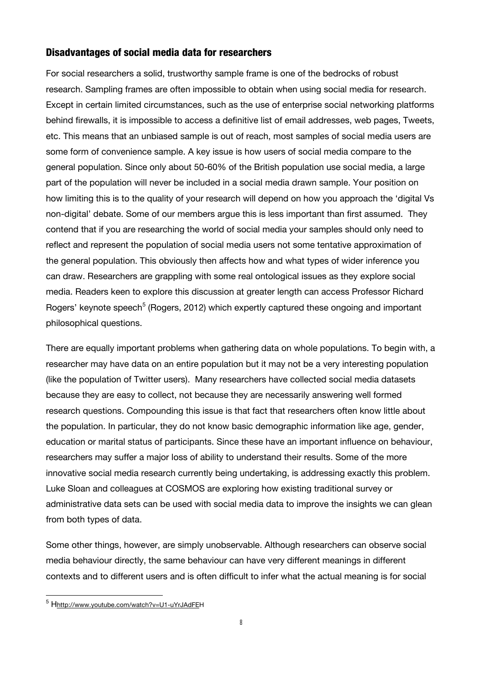#### Disadvantages of social media data for researchers

For social researchers a solid, trustworthy sample frame is one of the bedrocks of robust research. Sampling frames are often impossible to obtain when using social media for research. Except in certain limited circumstances, such as the use of enterprise social networking platforms behind firewalls, it is impossible to access a definitive list of email addresses, web pages, Tweets, etc. This means that an unbiased sample is out of reach, most samples of social media users are some form of convenience sample. A key issue is how users of social media compare to the general population. Since only about 50-60% of the British population use social media, a large part of the population will never be included in a social media drawn sample. Your position on how limiting this is to the quality of your research will depend on how you approach the 'digital Vs non-digital' debate. Some of our members argue this is less important than first assumed. They contend that if you are researching the world of social media your samples should only need to reflect and represent the population of social media users not some tentative approximation of the general population. This obviously then affects how and what types of wider inference you can draw. Researchers are grappling with some real ontological issues as they explore social media. Readers keen to explore this discussion at greater length can access Professor Richard Rogers'keynote speech<sup>5</sup> (Rogers, 2012) which expertly captured these ongoing and important philosophical questions.

There are equally important problems when gathering data on whole populations. To begin with, a researcher may have data on an entire population but it may not be a very interesting population (like the population of Twitter users). Many researchers have collected social media datasets because they are easy to collect, not because they are necessarily answering well formed research questions. Compounding this issue is that fact that researchers often know little about the population. In particular, they do not know basic demographic information like age, gender, education or marital status of participants. Since these have an important influence on behaviour, researchers may suffer a major loss of ability to understand their results. Some of the more innovative social media research currently being undertaking, is addressing exactly this problem. Luke Sloan and colleagues at COSMOS are exploring how existing traditional survey or administrative data sets can be used with social media data to improve the insights we can glean from both types of data.

Some other things, however, are simply unobservable. Although researchers can observe social media behaviour directly, the same behaviour can have very different meanings in different contexts and to different users and is often difficult to infer what the actual meaning is for social

<span id="page-10-0"></span><sup>-&</sup>lt;br><sup>5</sup> H<u>http://www.youtube.com/watch?v=U1-uYrJAdFE</u>H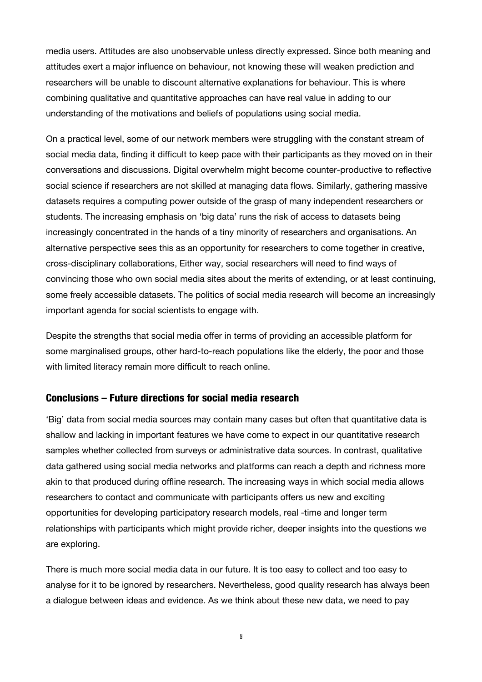media users. Attitudes are also unobservable unless directly expressed. Since both meaning and attitudes exert a major influence on behaviour, not knowing these will weaken prediction and researchers will be unable to discount alternative explanations for behaviour. This is where combining qualitative and quantitative approaches can have real value in adding to our understanding of the motivations and beliefs of populations using social media.

On a practical level, some of our network members were struggling with the constant stream of social media data, finding it difficult to keep pace with their participants as they moved on in their conversations and discussions. Digital overwhelm might become counter-productive to reflective social science if researchers are not skilled at managing data flows. Similarly, gathering massive datasets requires a computing power outside of the grasp of many independent researchers or students. The increasing emphasis on 'big data' runs the risk of access to datasets being increasingly concentrated in the hands of a tiny minority of researchers and organisations. An alternative perspective sees this as an opportunity for researchers to come together in creative, cross-disciplinary collaborations, Either way, social researchers will need to find ways of convincing those who own social media sites about the merits of extending, or at least continuing, some freely accessible datasets. The politics of social media research will become an increasingly important agenda for social scientists to engage with.

Despite the strengths that social media offer in terms of providing an accessible platform for some marginalised groups, other hard-to-reach populations like the elderly, the poor and those with limited literacy remain more difficult to reach online.

#### Conclusions – Future directions for social media research

'Big' data from social media sources may contain many cases but often that quantitative data is shallow and lacking in important features we have come to expect in our quantitative research samples whether collected from surveys or administrative data sources. In contrast, qualitative data gathered using social media networks and platforms can reach a depth and richness more akin to that produced during offline research. The increasing ways in which social media allows researchers to contact and communicate with participants offers us new and exciting opportunities for developing participatory research models, real -time and longer term relationships with participants which might provide richer, deeper insights into the questions we are exploring.

There is much more social media data in our future. It is too easy to collect and too easy to analyse for it to be ignored by researchers. Nevertheless, good quality research has always been a dialogue between ideas and evidence. As we think about these new data, we need to pay

9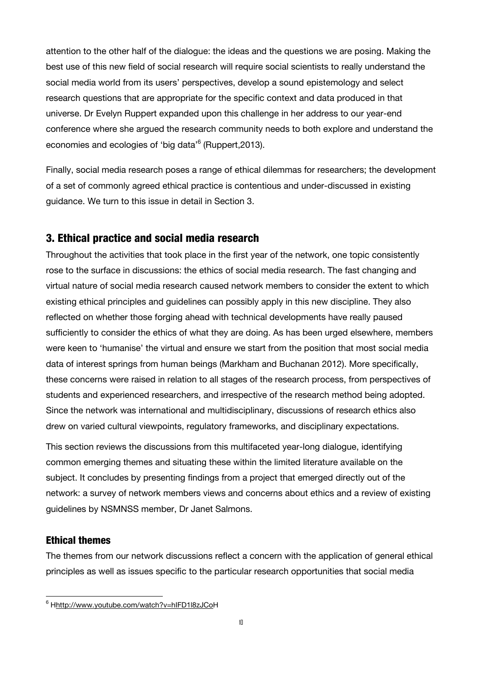<span id="page-12-0"></span>attention to the other half of the dialogue: the ideas and the questions we are posing. Making the best use of this new field of social research will require social scientists to really understand the social media world from its users' perspectives, develop a sound epistemology and select research questions that are appropriate for the specific context and data produced in that universe. Dr Evelyn Ruppert expanded upon this challenge in her address to our year-end conference where she argued the research community needs to both explore and understand the economies and ecologies of 'big data'<sup>6</sup> (Ruppert, 2013).

Finally, social media research poses a range of ethical dilemmas for researchers; the development of a set of commonly agreed ethical practice is contentious and under-discussed in existing guidance. We turn to this issue in detail in Section 3.

#### 3. Ethical practice and social media research

Throughout the activities that took place in the first year of the network, one topic consistently rose to the surface in discussions: the ethics of social media research. The fast changing and virtual nature of social media research caused network members to consider the extent to which existing ethical principles and guidelines can possibly apply in this new discipline. They also reflected on whether those forging ahead with technical developments have really paused sufficiently to consider the ethics of what they are doing. As has been urged elsewhere, members were keen to 'humanise' the virtual and ensure we start from the position that most social media data of interest springs from human beings (Markham and Buchanan 2012). More specifically, these concerns were raised in relation to all stages of the research process, from perspectives of students and experienced researchers, and irrespective of the research method being adopted. Since the network was international and multidisciplinary, discussions of research ethics also drew on varied cultural viewpoints, regulatory frameworks, and disciplinary expectations.

This section reviews the discussions from this multifaceted year-long dialogue, identifying common emerging themes and situating these within the limited literature available on the subject. It concludes by presenting findings from a project that emerged directly out of the network: a survey of network members views and concerns about ethics and a review of existing guidelines by NSMNSS member, Dr Janet Salmons.

#### Ethical themes

The themes from our network discussions reflect a concern with the application of general ethical principles as well as issues specific to the particular research opportunities that social media

 <sup>6</sup> Hhttp://www.youtube.com/watch?v=hIFD1l8zJCoH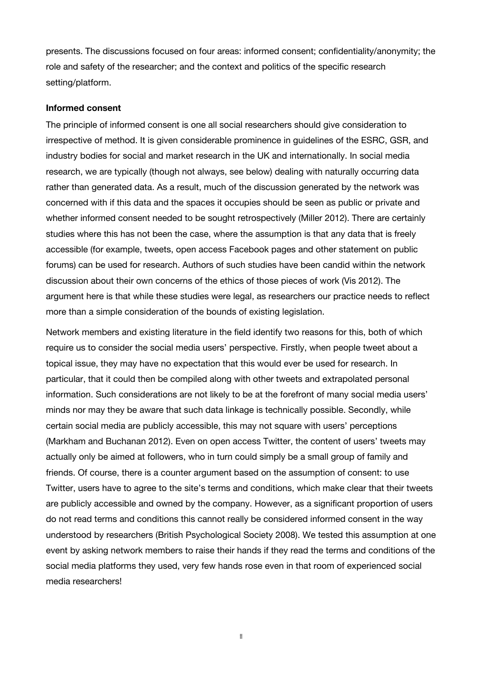<span id="page-13-0"></span>presents. The discussions focused on four areas: informed consent; confidentiality/anonymity; the role and safety of the researcher; and the context and politics of the specific research setting/platform.

#### **Informed consent**

The principle of informed consent is one all social researchers should give consideration to irrespective of method. It is given considerable prominence in guidelines of the ESRC, GSR, and industry bodies for social and market research in the UK and internationally. In social media research, we are typically (though not always, see below) dealing with naturally occurring data rather than generated data. As a result, much of the discussion generated by the network was concerned with if this data and the spaces it occupies should be seen as public or private and whether informed consent needed to be sought retrospectively (Miller 2012). There are certainly studies where this has not been the case, where the assumption is that any data that is freely accessible (for example, tweets, open access Facebook pages and other statement on public forums) can be used for research. Authors of such studies have been candid within the network discussion about their own concerns of the ethics of those pieces of work (Vis 2012). The argument here is that while these studies were legal, as researchers our practice needs to reflect more than a simple consideration of the bounds of existing legislation.

Network members and existing literature in the field identify two reasons for this, both of which require us to consider the social media users' perspective. Firstly, when people tweet about a topical issue, they may have no expectation that this would ever be used for research. In particular, that it could then be compiled along with other tweets and extrapolated personal information. Such considerations are not likely to be at the forefront of many social media users' minds nor may they be aware that such data linkage is technically possible. Secondly, while certain social media are publicly accessible, this may not square with users' perceptions (Markham and Buchanan 2012). Even on open access Twitter, the content of users' tweets may actually only be aimed at followers, who in turn could simply be a small group of family and friends. Of course, there is a counter argument based on the assumption of consent: to use Twitter, users have to agree to the site's terms and conditions, which make clear that their tweets are publicly accessible and owned by the company. However, as a significant proportion of users do not read terms and conditions this cannot really be considered informed consent in the way understood by researchers (British Psychological Society 2008). We tested this assumption at one event by asking network members to raise their hands if they read the terms and conditions of the social media platforms they used, very few hands rose even in that room of experienced social media researchers!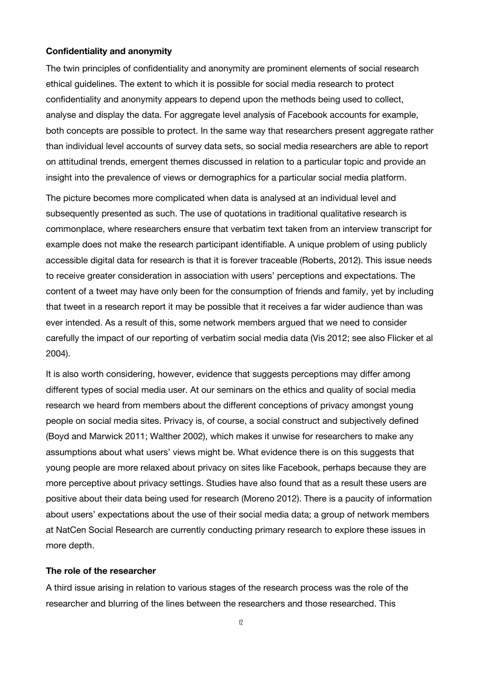#### <span id="page-14-0"></span>**Confidentiality and anonymity**

The twin principles of confidentiality and anonymity are prominent elements of social research ethical guidelines. The extent to which it is possible for social media research to protect confidentiality and anonymity appears to depend upon the methods being used to collect, analyse and display the data. For aggregate level analysis of Facebook accounts for example, both concepts are possible to protect. In the same way that researchers present aggregate rather than individual level accounts of survey data sets, so social media researchers are able to report on attitudinal trends, emergent themes discussed in relation to a particular topic and provide an insight into the prevalence of views or demographics for a particular social media platform.

The picture becomes more complicated when data is analysed at an individual level and subsequently presented as such. The use of quotations in traditional qualitative research is commonplace, where researchers ensure that verbatim text taken from an interview transcript for example does not make the research participant identifiable. A unique problem of using publicly accessible digital data for research is that it is forever traceable (Roberts, 2012). This issue needs to receive greater consideration in association with users' perceptions and expectations. The content of a tweet may have only been for the consumption of friends and family, yet by including that tweet in a research report it may be possible that it receives a far wider audience than was ever intended. As a result of this, some network members argued that we need to consider carefully the impact of our reporting of verbatim social media data (Vis 2012; see also Flicker et al 2004).

It is also worth considering, however, evidence that suggests perceptions may differ among different types of social media user. At our seminars on the ethics and quality of social media research we heard from members about the different conceptions of privacy amongst young people on social media sites. Privacy is, of course, a social construct and subjectively defined (Boyd and Marwick 2011; Walther 2002), which makes it unwise for researchers to make any assumptions about what users' views might be. What evidence there is on this suggests that young people are more relaxed about privacy on sites like Facebook, perhaps because they are more perceptive about privacy settings. Studies have also found that as a result these users are positive about their data being used for research (Moreno 2012). There is a paucity of information about users' expectations about the use of their social media data; a group of network members at NatCen Social Research are currently conducting primary research to explore these issues in more depth.

#### **The role of the researcher**

A third issue arising in relation to various stages of the research process was the role of the researcher and blurring of the lines between the researchers and those researched. This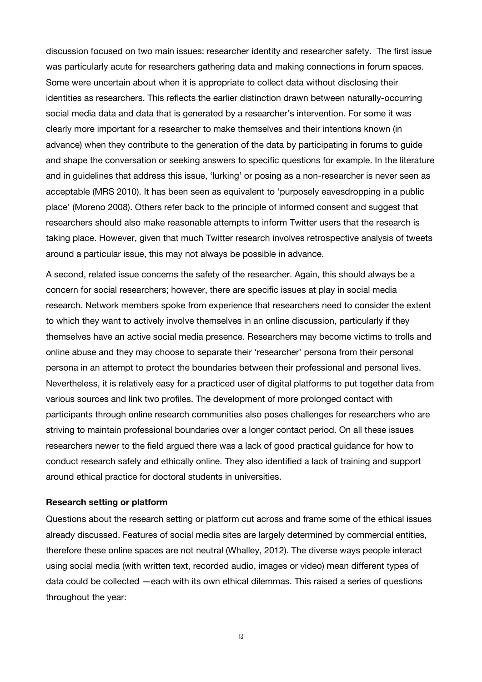<span id="page-15-0"></span>discussion focused on two main issues: researcher identity and researcher safety. The first issue was particularly acute for researchers gathering data and making connections in forum spaces. Some were uncertain about when it is appropriate to collect data without disclosing their identities as researchers. This reflects the earlier distinction drawn between naturally-occurring social media data and data that is generated by a researcher's intervention. For some it was clearly more important for a researcher to make themselves and their intentions known (in advance) when they contribute to the generation of the data by participating in forums to guide and shape the conversation or seeking answers to specific questions for example. In the literature and in guidelines that address this issue, 'lurking' or posing as a non-researcher is never seen as acceptable (MRS 2010). It has been seen as equivalent to 'purposely eavesdropping in a public place' (Moreno 2008). Others refer back to the principle of informed consent and suggest that researchers should also make reasonable attempts to inform Twitter users that the research is taking place. However, given that much Twitter research involves retrospective analysis of tweets around a particular issue, this may not always be possible in advance.

A second, related issue concerns the safety of the researcher. Again, this should always be a concern for social researchers; however, there are specific issues at play in social media research. Network members spoke from experience that researchers need to consider the extent to which they want to actively involve themselves in an online discussion, particularly if they themselves have an active social media presence. Researchers may become victims to trolls and online abuse and they may choose to separate their 'researcher' persona from their personal persona in an attempt to protect the boundaries between their professional and personal lives. Nevertheless, it is relatively easy for a practiced user of digital platforms to put together data from various sources and link two profiles. The development of more prolonged contact with participants through online research communities also poses challenges for researchers who are striving to maintain professional boundaries over a longer contact period. On all these issues researchers newer to the field argued there was a lack of good practical guidance for how to conduct research safely and ethically online. They also identified a lack of training and support around ethical practice for doctoral students in universities.

#### **Research setting or platform**

Questions about the research setting or platform cut across and frame some of the ethical issues already discussed. Features of social media sites are largely determined by commercial entities, therefore these online spaces are not neutral (Whalley, 2012). The diverse ways people interact using social media (with written text, recorded audio, images or video) mean different types of data could be collected —each with its own ethical dilemmas. This raised a series of questions throughout the year:

13 and 13 and 13 and 13 and 13 and 13 and 13 and 13 and 13 and 13 and 13 and 13 and 13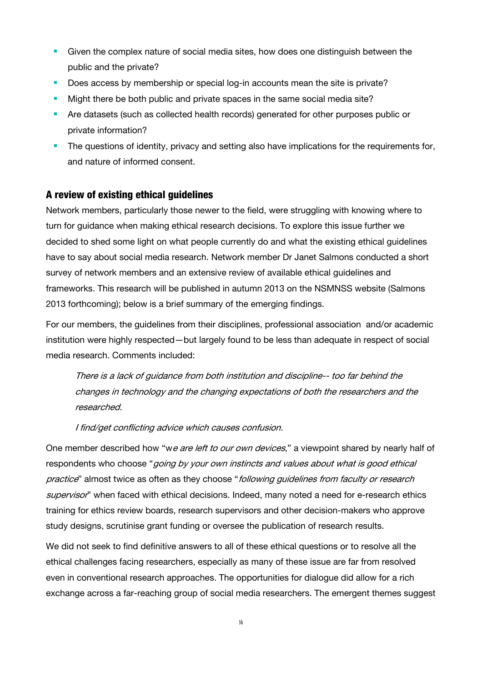- Given the complex nature of social media sites, how does one distinguish between the public and the private?
- Does access by membership or special log-in accounts mean the site is private?
- Might there be both public and private spaces in the same social media site?
- Are datasets (such as collected health records) generated for other purposes public or private information?
- The questions of identity, privacy and setting also have implications for the requirements for, and nature of informed consent.

#### A review of existing ethical guidelines

Network members, particularly those newer to the field, were struggling with knowing where to turn for guidance when making ethical research decisions. To explore this issue further we decided to shed some light on what people currently do and what the existing ethical guidelines have to say about social media research. Network member Dr Janet Salmons conducted a short survey of network members and an extensive review of available ethical guidelines and frameworks. This research will be published in autumn 2013 on the NSMNSS website (Salmons 2013 forthcoming); below is a brief summary of the emerging findings.

For our members, the guidelines from their disciplines, professional association and/or academic institution were highly respected—but largely found to be less than adequate in respect of social media research. Comments included:

There is a lack of guidance from both institution and discipline-- too far behind the changes in technology and the changing expectations of both the researchers and the researched.

I find/get conflicting advice which causes confusion.

One member described how "we are left to our own devices," a viewpoint shared by nearly half of respondents who choose "*going by your own instincts and values about what is good ethical* practice" almost twice as often as they choose "following guidelines from faculty or research supervisor" when faced with ethical decisions. Indeed, many noted a need for e-research ethics training for ethics review boards, research supervisors and other decision-makers who approve study designs, scrutinise grant funding or oversee the publication of research results.

We did not seek to find definitive answers to all of these ethical questions or to resolve all the ethical challenges facing researchers, especially as many of these issue are far from resolved even in conventional research approaches. The opportunities for dialogue did allow for a rich exchange across a far-reaching group of social media researchers. The emergent themes suggest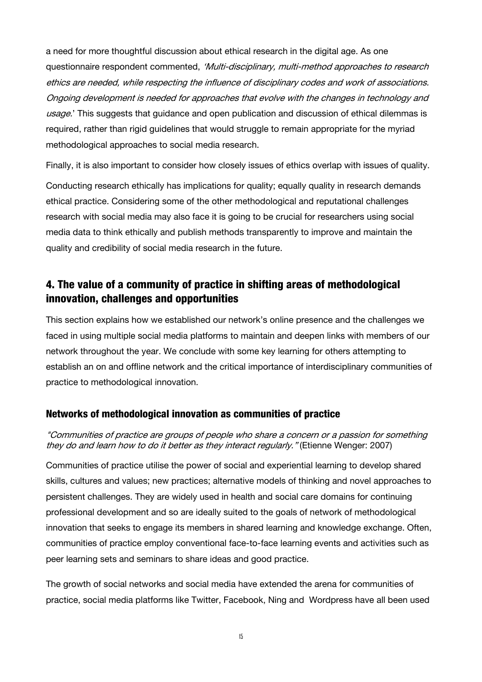<span id="page-17-0"></span>a need for more thoughtful discussion about ethical research in the digital age. As one questionnaire respondent commented, 'Multi-disciplinary, multi-method approaches to research ethics are needed, while respecting the influence of disciplinary codes and work of associations. Ongoing development is needed for approaches that evolve with the changes in technology and usage.' This suggests that guidance and open publication and discussion of ethical dilemmas is required, rather than rigid guidelines that would struggle to remain appropriate for the myriad methodological approaches to social media research.

Finally, it is also important to consider how closely issues of ethics overlap with issues of quality.

Conducting research ethically has implications for quality; equally quality in research demands ethical practice. Considering some of the other methodological and reputational challenges research with social media may also face it is going to be crucial for researchers using social media data to think ethically and publish methods transparently to improve and maintain the quality and credibility of social media research in the future.

# 4. The value of a community of practice in shifting areas of methodological innovation, challenges and opportunities

This section explains how we established our network's online presence and the challenges we faced in using multiple social media platforms to maintain and deepen links with members of our network throughout the year. We conclude with some key learning for others attempting to establish an on and offline network and the critical importance of interdisciplinary communities of practice to methodological innovation.

#### Networks of methodological innovation as communities of practice

#### "Communities of practice are groups of people who share a concern or a passion for something they do and learn how to do it better as they interact regularly." (Etienne Wenger: 2007)

Communities of practice utilise the power of social and experiential learning to develop shared skills, cultures and values; new practices; alternative models of thinking and novel approaches to persistent challenges. They are widely used in health and social care domains for continuing professional development and so are ideally suited to the goals of network of methodological innovation that seeks to engage its members in shared learning and knowledge exchange. Often, communities of practice employ conventional face-to-face learning events and activities such as peer learning sets and seminars to share ideas and good practice.

The growth of social networks and social media have extended the arena for communities of practice, social media platforms like Twitter, Facebook, Ning and Wordpress have all been used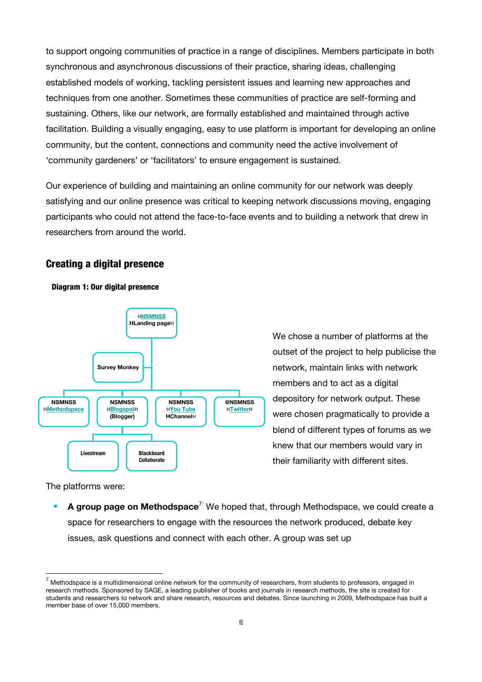to support ongoing communities of practice in a range of disciplines. Members participate in both synchronous and asynchronous discussions of their practice, sharing ideas, challenging established models of working, tackling persistent issues and learning new approaches and techniques from one another. Sometimes these communities of practice are self-forming and sustaining. Others, like our network, are formally established and maintained through active facilitation. Building a visually engaging, easy to use platform is important for developing an online community, but the content, connections and community need the active involvement of 'community gardeners' or 'facilitators' to ensure engagement is sustained.

Our experience of building and maintaining an online community for our network was deeply satisfying and our online presence was critical to keeping network discussions moving, engaging participants who could not attend the face-to-face events and to building a network that drew in researchers from around the world.

#### Creating a digital presence





We chose a number of platforms at the outset of the project to help publicise the network, maintain links with network members and to act as a digital depository for network output. These were chosen pragmatically to provide a blend of different types of forums as we knew that our members would vary in their familiarity with different sites.

The platforms were:

**A group page on Methodspace**<sup>7:</sup> We hoped that, through Methodspace, we could create a space for researchers to engage with the resources the network produced, debate key issues, ask questions and connect with each other. A group was set up

<span id="page-18-0"></span> <sup>7</sup> Methodspace is a multidimensional online network for the community of researchers, from students to professors, engaged in research methods. Sponsored by SAGE, a leading publisher of books and journals in research methods, the site is created for students and researchers to network and share research, resources and debates. Since launching in 2009, Methodspace has built a member base of over 15,000 members.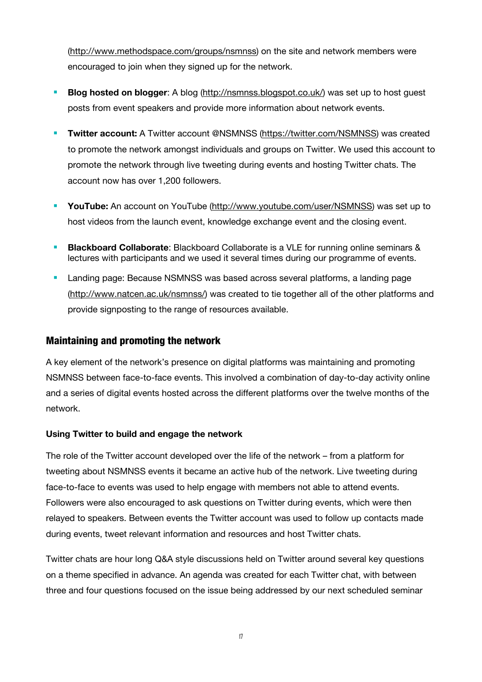<span id="page-19-0"></span>([http://www.methodspace.com/groups/nsmnss\)](http://www.methodspace.com/groups/nsmnss) on the site and network members were encouraged to join when they signed up for the network.

- **Blog hosted on blogger:** A blog [\(http://nsmnss.blogspot.co.uk/\)](http://nsmnss.blogspot.co.uk/) was set up to host guest posts from event speakers and provide more information about network events.
- **Twitter account:** A Twitter account @NSMNSS [\(https://twitter.com/NSMNSS\)](https://twitter.com/NSMNSS) was created to promote the network amongst individuals and groups on Twitter. We used this account to promote the network through live tweeting during events and hosting Twitter chats. The account now has over 1,200 followers.
- **YouTube:** An account on YouTube ([http://www.youtube.com/user/NSMNSS\)](http://www.youtube.com/user/NSMNSS) was set up to host videos from the launch event, knowledge exchange event and the closing event.
- **Blackboard Collaborate**: Blackboard Collaborate is a VLE for running online seminars & lectures with participants and we used it several times during our programme of events.
- **Landing page: Because NSMNSS was based across several platforms, a landing page** (<http://www.natcen.ac.uk/nsmnss/>) was created to tie together all of the other platforms and provide signposting to the range of resources available.

#### Maintaining and promoting the network

A key element of the network's presence on digital platforms was maintaining and promoting NSMNSS between face-to-face events. This involved a combination of day-to-day activity online and a series of digital events hosted across the different platforms over the twelve months of the network.

#### **Using Twitter to build and engage the network**

The role of the Twitter account developed over the life of the network – from a platform for tweeting about NSMNSS events it became an active hub of the network. Live tweeting during face-to-face to events was used to help engage with members not able to attend events. Followers were also encouraged to ask questions on Twitter during events, which were then relayed to speakers. Between events the Twitter account was used to follow up contacts made during events, tweet relevant information and resources and host Twitter chats.

Twitter chats are hour long Q&A style discussions held on Twitter around several key questions on a theme specified in advance. An agenda was created for each Twitter chat, with between three and four questions focused on the issue being addressed by our next scheduled seminar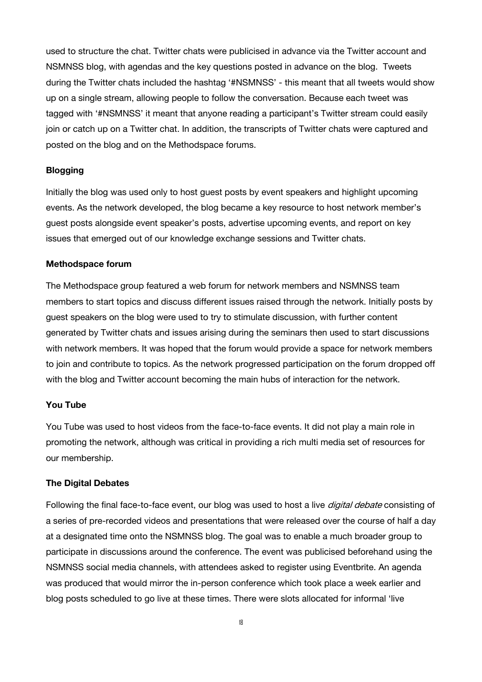<span id="page-20-0"></span>used to structure the chat. Twitter chats were publicised in advance via the Twitter account and NSMNSS blog, with agendas and the key questions posted in advance on the blog. Tweets during the Twitter chats included the hashtag '#NSMNSS' - this meant that all tweets would show up on a single stream, allowing people to follow the conversation. Because each tweet was tagged with '#NSMNSS' it meant that anyone reading a participant's Twitter stream could easily join or catch up on a Twitter chat. In addition, the transcripts of Twitter chats were captured and posted on the blog and on the Methodspace forums.

#### **Blogging**

Initially the blog was used only to host guest posts by event speakers and highlight upcoming events. As the network developed, the blog became a key resource to host network member's guest posts alongside event speaker's posts, advertise upcoming events, and report on key issues that emerged out of our knowledge exchange sessions and Twitter chats.

#### **Methodspace forum**

The Methodspace group featured a web forum for network members and NSMNSS team members to start topics and discuss different issues raised through the network. Initially posts by guest speakers on the blog were used to try to stimulate discussion, with further content generated by Twitter chats and issues arising during the seminars then used to start discussions with network members. It was hoped that the forum would provide a space for network members to join and contribute to topics. As the network progressed participation on the forum dropped off with the blog and Twitter account becoming the main hubs of interaction for the network.

#### **You Tube**

You Tube was used to host videos from the face-to-face events. It did not play a main role in promoting the network, although was critical in providing a rich multi media set of resources for our membership.

#### **The Digital Debates**

Following the final face-to-face event, our blog was used to host a live *digital debate* consisting of a series of pre-recorded videos and presentations that were released over the course of half a day at a designated time onto the NSMNSS blog. The goal was to enable a much broader group to participate in discussions around the conference. The event was publicised beforehand using the NSMNSS social media channels, with attendees asked to register using Eventbrite. An agenda was produced that would mirror the in-person conference which took place a week earlier and blog posts scheduled to go live at these times. There were slots allocated for informal 'live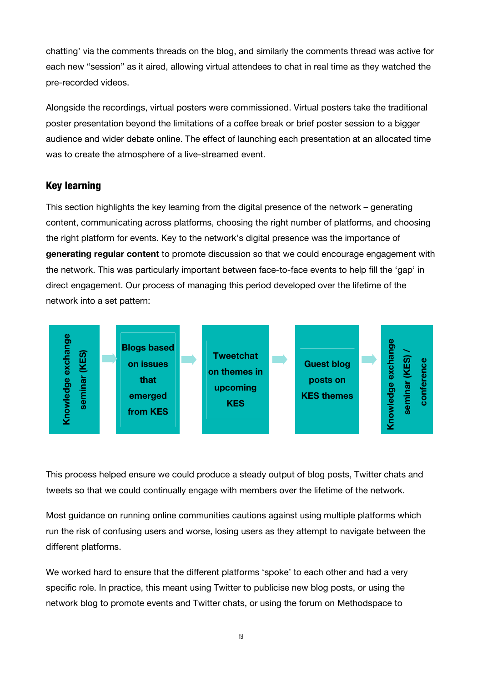chatting' via the comments threads on the blog, and similarly the comments thread was active for each new "session" as it aired, allowing virtual attendees to chat in real time as they watched the pre-recorded videos.

Alongside the recordings, virtual posters were commissioned. Virtual posters take the traditional poster presentation beyond the limitations of a coffee break or brief poster session to a bigger audience and wider debate online. The effect of launching each presentation at an allocated time was to create the atmosphere of a live-streamed event.

#### Key learning

This section highlights the key learning from the digital presence of the network – generating content, communicating across platforms, choosing the right number of platforms, and choosing the right platform for events. Key to the network's digital presence was the importance of **generating regular content** to promote discussion so that we could encourage engagement with the network. This was particularly important between face-to-face events to help fill the 'gap' in direct engagement. Our process of managing this period developed over the lifetime of the network into a set pattern:



This process helped ensure we could produce a steady output of blog posts, Twitter chats and tweets so that we could continually engage with members over the lifetime of the network.

Most guidance on running online communities cautions against using multiple platforms which run the risk of confusing users and worse, losing users as they attempt to navigate between the different platforms.

We worked hard to ensure that the different platforms 'spoke' to each other and had a very specific role. In practice, this meant using Twitter to publicise new blog posts, or using the network blog to promote events and Twitter chats, or using the forum on Methodspace to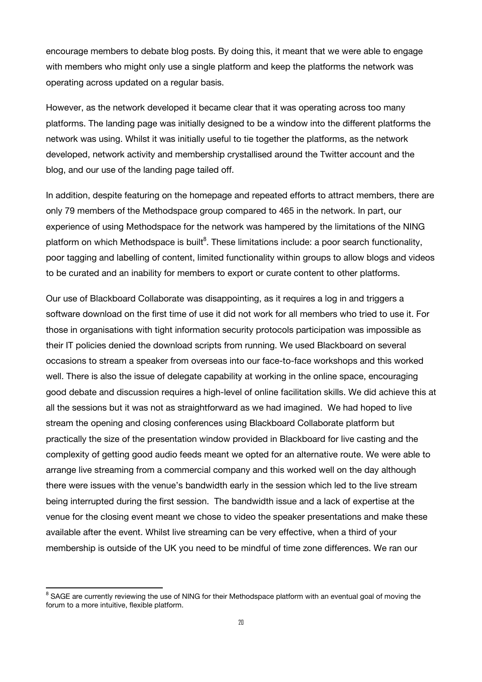encourage members to debate blog posts. By doing this, it meant that we were able to engage with members who might only use a single platform and keep the platforms the network was operating across updated on a regular basis.

However, as the network developed it became clear that it was operating across too many platforms. The landing page was initially designed to be a window into the different platforms the network was using. Whilst it was initially useful to tie together the platforms, as the network developed, network activity and membership crystallised around the Twitter account and the blog, and our use of the landing page tailed off.

In addition, despite featuring on the homepage and repeated efforts to attract members, there are only 79 members of the Methodspace group compared to 465 in the network. In part, our experience of using Methodspace for the network was hampered by the limitations of the NING platform on which Methodspace is built<sup>8</sup>. These limitations include: a poor search functionality, poor tagging and labelling of content, li[mi](#page-22-0)ted functionality within groups to allow blogs and videos to be curated and an inability for members to export or curate content to other platforms.

Our use of Blackboard Collaborate was disappointing, as it requires a log in and triggers a software download on the first time of use it did not work for all members who tried to use it. For those in organisations with tight information security protocols participation was impossible as their IT policies denied the download scripts from running. We used Blackboard on several occasions to stream a speaker from overseas into our face-to-face workshops and this worked well. There is also the issue of delegate capability at working in the online space, encouraging good debate and discussion requires a high-level of online facilitation skills. We did achieve this at all the sessions but it was not as straightforward as we had imagined. We had hoped to live stream the opening and closing conferences using Blackboard Collaborate platform but practically the size of the presentation window provided in Blackboard for live casting and the complexity of getting good audio feeds meant we opted for an alternative route. We were able to arrange live streaming from a commercial company and this worked well on the day although there were issues with the venue's bandwidth early in the session which led to the live stream being interrupted during the first session. The bandwidth issue and a lack of expertise at the venue for the closing event meant we chose to video the speaker presentations and make these available after the event. Whilst live streaming can be very effective, when a third of your membership is outside of the UK you need to be mindful of time zone differences. We ran our

<span id="page-22-0"></span>exting the SAGE are currently reviewing the use of NING for their Methodspace platform with an eventual goal of moving the<br><sup>8</sup> SAGE are currently reviewing the use of NING for their Methodspace platform with an eventual go forum to a more intuitive, flexible platform.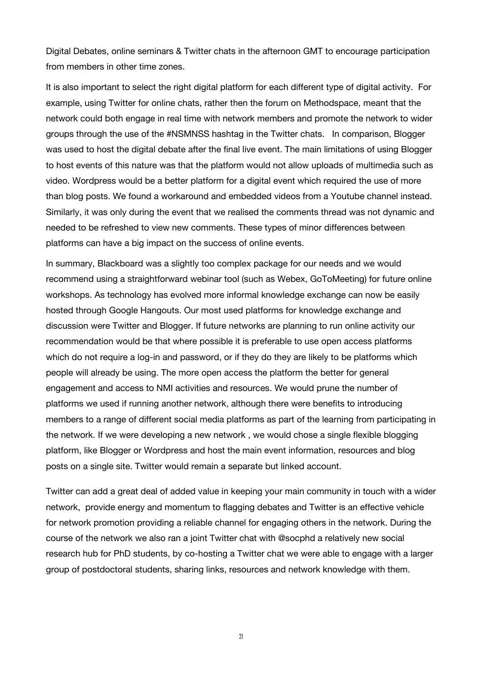Digital Debates, online seminars & Twitter chats in the afternoon GMT to encourage participation from members in other time zones.

It is also important to select the right digital platform for each different type of digital activity. For example, using Twitter for online chats, rather then the forum on Methodspace, meant that the network could both engage in real time with network members and promote the network to wider groups through the use of the #NSMNSS hashtag in the Twitter chats. In comparison, Blogger was used to host the digital debate after the final live event. The main limitations of using Blogger to host events of this nature was that the platform would not allow uploads of multimedia such as video. Wordpress would be a better platform for a digital event which required the use of more than blog posts. We found a workaround and embedded videos from a Youtube channel instead. Similarly, it was only during the event that we realised the comments thread was not dynamic and needed to be refreshed to view new comments. These types of minor differences between platforms can have a big impact on the success of online events.

In summary, Blackboard was a slightly too complex package for our needs and we would recommend using a straightforward webinar tool (such as Webex, GoToMeeting) for future online workshops. As technology has evolved more informal knowledge exchange can now be easily hosted through Google Hangouts. Our most used platforms for knowledge exchange and discussion were Twitter and Blogger. If future networks are planning to run online activity our recommendation would be that where possible it is preferable to use open access platforms which do not require a log-in and password, or if they do they are likely to be platforms which people will already be using. The more open access the platform the better for general engagement and access to NMI activities and resources. We would prune the number of platforms we used if running another network, although there were benefits to introducing members to a range of different social media platforms as part of the learning from participating in the network. If we were developing a new network , we would chose a single flexible blogging platform, like Blogger or Wordpress and host the main event information, resources and blog posts on a single site. Twitter would remain a separate but linked account.

Twitter can add a great deal of added value in keeping your main community in touch with a wider network, provide energy and momentum to flagging debates and Twitter is an effective vehicle for network promotion providing a reliable channel for engaging others in the network. During the course of the network we also ran a joint Twitter chat with @socphd a relatively new social research hub for PhD students, by co-hosting a Twitter chat we were able to engage with a larger group of postdoctoral students, sharing links, resources and network knowledge with them.

21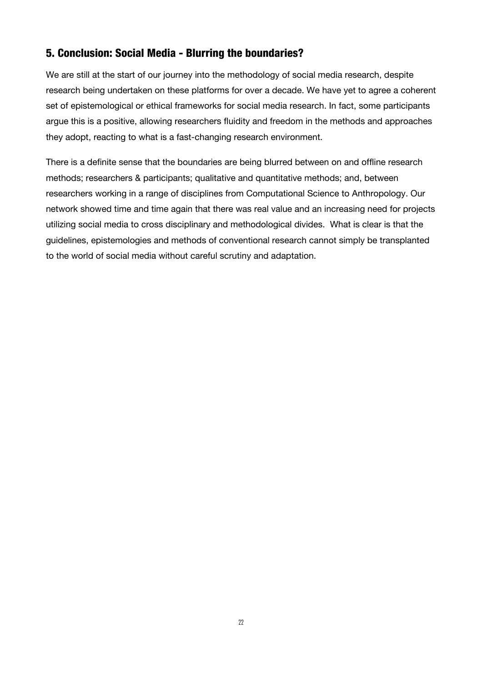## <span id="page-24-0"></span>5. Conclusion: Social Media - Blurring the boundaries?

We are still at the start of our journey into the methodology of social media research, despite research being undertaken on these platforms for over a decade. We have yet to agree a coherent set of epistemological or ethical frameworks for social media research. In fact, some participants argue this is a positive, allowing researchers fluidity and freedom in the methods and approaches they adopt, reacting to what is a fast-changing research environment.

There is a definite sense that the boundaries are being blurred between on and offline research methods; researchers & participants; qualitative and quantitative methods; and, between researchers working in a range of disciplines from Computational Science to Anthropology. Our network showed time and time again that there was real value and an increasing need for projects utilizing social media to cross disciplinary and methodological divides. What is clear is that the guidelines, epistemologies and methods of conventional research cannot simply be transplanted to the world of social media without careful scrutiny and adaptation.